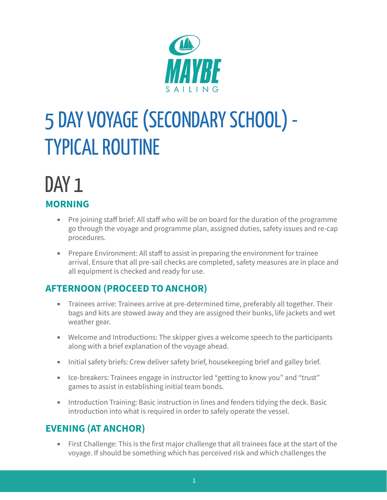

# 5 DAY VOYAGE (SECONDARY SCHOOL) -**TYPICAL ROUTINE**

# DAY<sub>1</sub> **MORNING**

- Pre joining staff brief: All staff who will be on board for the duration of the programme go through the voyage and programme plan, assigned duties, safety issues and re-cap procedures.
- Prepare Environment: All staff to assist in preparing the environment for trainee arrival. Ensure that all pre-sail checks are completed, safety measures are in place and all equipment is checked and ready for use.

# **AFTERNOON (PROCEED TO ANCHOR)**

- **EXECT** Trainees arrive: Trainees arrive at pre-determined time, preferably all together. Their bags and kits are stowed away and they are assigned their bunks, life jackets and wet weather gear.
- Welcome and Introductions: The skipper gives a welcome speech to the participants along with a brief explanation of the voyage ahead.
- **EXEDENT Initial safety briefs: Crew deliver safety brief, housekeeping brief and galley brief.**
- Ice-breakers: Trainees engage in instructor led "getting to know you" and "trust" games to assist in establishing initial team bonds.
- **EXEDERITH** Introduction Training: Basic instruction in lines and fenders tidying the deck. Basic introduction into what is required in order to safely operate the vessel.

# **EVENING (AT ANCHOR)**

**EXTER** First Challenge: This is the first major challenge that all trainees face at the start of the voyage. If should be something which has perceived risk and which challenges the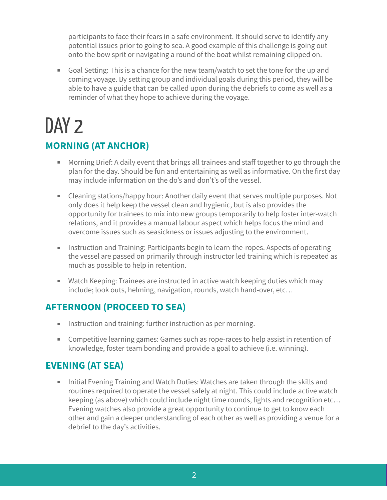participants to face their fears in a safe environment. It should serve to identify any potential issues prior to going to sea. A good example of this challenge is going out onto the bow sprit or navigating a round of the boat whilst remaining clipped on.

■ Goal Setting: This is a chance for the new team/watch to set the tone for the up and coming voyage. By setting group and individual goals during this period, they will be able to have a guide that can be called upon during the debriefs to come as well as a reminder of what they hope to achieve during the voyage.

# DAY<sub>2</sub>

# **MORNING (AT ANCHOR)**

- Morning Brief: A daily event that brings all trainees and staff together to go through the plan for the day. Should be fun and entertaining as well as informative. On the first day may include information on the do's and don't's of the vessel.
- Cleaning stations/happy hour: Another daily event that serves multiple purposes. Not only does it help keep the vessel clean and hygienic, but is also provides the opportunity for trainees to mix into new groups temporarily to help foster inter-watch relations, and it provides a manual labour aspect which helps focus the mind and overcome issues such as seasickness or issues adjusting to the environment.
- **EXECT** Instruction and Training: Participants begin to learn-the-ropes. Aspects of operating the vessel are passed on primarily through instructor led training which is repeated as much as possible to help in retention.
- Watch Keeping: Trainees are instructed in active watch keeping duties which may include; look outs, helming, navigation, rounds, watch hand-over, etc…

### **AFTERNOON (PROCEED TO SEA)**

- **EXEDENT IN** Instruction and training: further instruction as per morning.
- Competitive learning games: Games such as rope-races to help assist in retention of knowledge, foster team bonding and provide a goal to achieve (i.e. winning).

# **EVENING (AT SEA)**

**EXED Initial Evening Training and Watch Duties: Watches are taken through the skills and** routines required to operate the vessel safely at night. This could include active watch keeping (as above) which could include night time rounds, lights and recognition etc… Evening watches also provide a great opportunity to continue to get to know each other and gain a deeper understanding of each other as well as providing a venue for a debrief to the day's activities.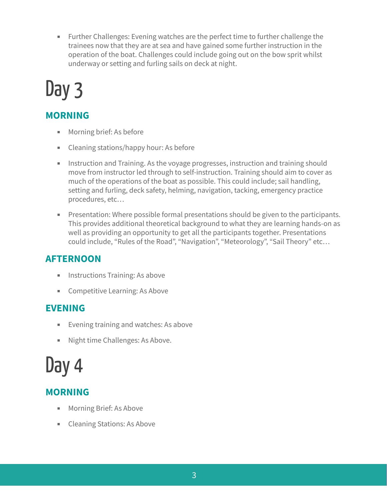■ Further Challenges: Evening watches are the perfect time to further challenge the trainees now that they are at sea and have gained some further instruction in the operation of the boat. Challenges could include going out on the bow sprit whilst underway or setting and furling sails on deck at night.

# Day 3

# **MORNING**

- Morning brief: As before
- Cleaning stations/happy hour: As before
- **EXEDENTIFY Instruction and Training. As the voyage progresses, instruction and training should** move from instructor led through to self-instruction. Training should aim to cover as much of the operations of the boat as possible. This could include; sail handling, setting and furling, deck safety, helming, navigation, tacking, emergency practice procedures, etc…
- Presentation: Where possible formal presentations should be given to the participants. This provides additional theoretical background to what they are learning hands-on as well as providing an opportunity to get all the participants together. Presentations could include, "Rules of the Road", "Navigation", "Meteorology", "Sail Theory" etc…

# **AFTERNOON**

- **EXECUTE: Instructions Training: As above**
- Competitive Learning: As Above

# **EVENING**

- Evening training and watches: As above
- Night time Challenges: As Above.

# Day 4

# **MORNING**

- Morning Brief: As Above
- Cleaning Stations: As Above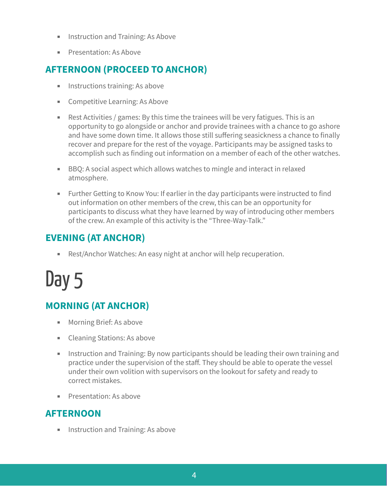- **EXECUTE:** Instruction and Training: As Above
- **•** Presentation: As Above

### **AFTERNOON (PROCEED TO ANCHOR)**

- **EXECUTE:** Instructions training: As above
- Competitive Learning: As Above
- $\blacksquare$  Rest Activities / games: By this time the trainees will be very fatigues. This is an opportunity to go alongside or anchor and provide trainees with a chance to go ashore and have some down time. It allows those still suffering seasickness a chance to finally recover and prepare for the rest of the voyage. Participants may be assigned tasks to accomplish such as finding out information on a member of each of the other watches.
- BBQ: A social aspect which allows watches to mingle and interact in relaxed atmosphere.
- Further Getting to Know You: If earlier in the day participants were instructed to find out information on other members of the crew, this can be an opportunity for participants to discuss what they have learned by way of introducing other members of the crew. An example of this activity is the "Three-Way-Talk."

### **EVENING (AT ANCHOR)**

■ Rest/Anchor Watches: An easy night at anchor will help recuperation.

# Day 5

# **MORNING (AT ANCHOR)**

- Morning Brief: As above
- Cleaning Stations: As above
- **EXED** Instruction and Training: By now participants should be leading their own training and practice under the supervision of the staff. They should be able to operate the vessel under their own volition with supervisors on the lookout for safety and ready to correct mistakes.
- **EXECUTE: Presentation: As above**

#### **AFTERNOON**

■ Instruction and Training: As above